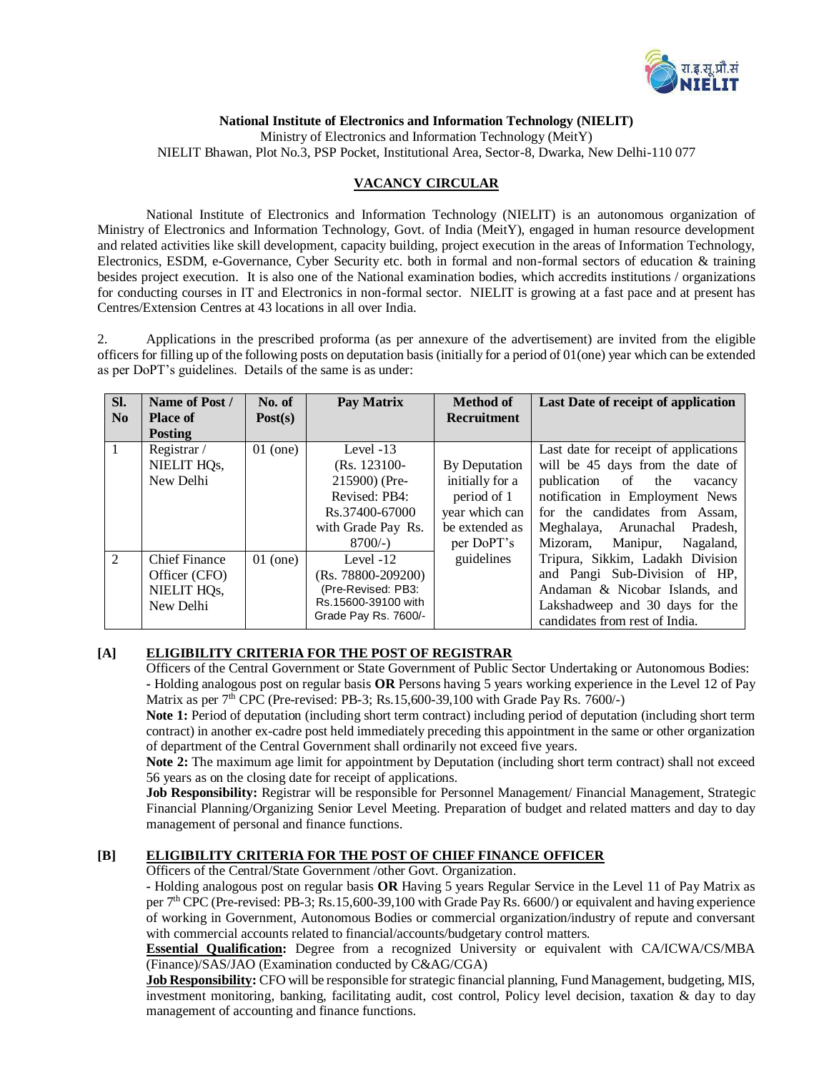

**National Institute of Electronics and Information Technology (NIELIT)**

Ministry of Electronics and Information Technology (MeitY)

NIELIT Bhawan, Plot No.3, PSP Pocket, Institutional Area, Sector-8, Dwarka, New Delhi-110 077

## **VACANCY CIRCULAR**

National Institute of Electronics and Information Technology (NIELIT) is an autonomous organization of Ministry of Electronics and Information Technology, Govt. of India (MeitY), engaged in human resource development and related activities like skill development, capacity building, project execution in the areas of Information Technology, Electronics, ESDM, e-Governance, Cyber Security etc. both in formal and non-formal sectors of education & training besides project execution. It is also one of the National examination bodies, which accredits institutions / organizations for conducting courses in IT and Electronics in non-formal sector. NIELIT is growing at a fast pace and at present has Centres/Extension Centres at 43 locations in all over India.

2. Applications in the prescribed proforma (as per annexure of the advertisement) are invited from the eligible officers for filling up of the following posts on deputation basis (initially for a period of 01(one) year which can be extended as per DoPT's guidelines. Details of the same is as under:

| Sl.<br>No      | Name of Post /<br><b>Place of</b><br><b>Posting</b>                            | No. of<br>Post(s) | Pay Matrix                                                                                                          | <b>Method of</b><br><b>Recruitment</b>                                                            | Last Date of receipt of application                                                                                                                                                                                                                            |
|----------------|--------------------------------------------------------------------------------|-------------------|---------------------------------------------------------------------------------------------------------------------|---------------------------------------------------------------------------------------------------|----------------------------------------------------------------------------------------------------------------------------------------------------------------------------------------------------------------------------------------------------------------|
| $\mathbf{1}$   | Registrar /<br>NIELIT HQs,<br>New Delhi                                        | $01$ (one)        | Level $-13$<br>(Rs. 123100-<br>215900) (Pre-<br>Revised: PB4:<br>Rs.37400-67000<br>with Grade Pay Rs.<br>$8700/-$ ) | By Deputation<br>initially for a<br>period of 1<br>year which can<br>be extended as<br>per DoPT's | Last date for receipt of applications<br>will be 45 days from the date of<br>publication of<br>the<br>vacancy<br>notification in Employment News<br>for the candidates from Assam,<br>Arunachal<br>Meghalaya,<br>Pradesh,<br>Nagaland,<br>Mizoram.<br>Manipur, |
| $\overline{2}$ | <b>Chief Finance</b><br>Officer (CFO)<br>NIELIT HQ <sub>s</sub> ,<br>New Delhi | $01$ (one)        | Level $-12$<br>$(Rs. 78800 - 209200)$<br>(Pre-Revised: PB3:<br>Rs.15600-39100 with<br>Grade Pay Rs. 7600/-          | guidelines                                                                                        | Tripura, Sikkim, Ladakh Division<br>and Pangi Sub-Division of HP,<br>Andaman & Nicobar Islands, and<br>Lakshadweep and 30 days for the<br>candidates from rest of India.                                                                                       |

## **[A] ELIGIBILITY CRITERIA FOR THE POST OF REGISTRAR**

Officers of the Central Government or State Government of Public Sector Undertaking or Autonomous Bodies: **-** Holding analogous post on regular basis **OR** Persons having 5 years working experience in the Level 12 of Pay Matrix as per  $7<sup>th</sup>$  CPC (Pre-revised: PB-3; Rs.15,600-39,100 with Grade Pay Rs. 7600/-)

**Note 1:** Period of deputation (including short term contract) including period of deputation (including short term contract) in another ex-cadre post held immediately preceding this appointment in the same or other organization of department of the Central Government shall ordinarily not exceed five years.

**Note 2:** The maximum age limit for appointment by Deputation (including short term contract) shall not exceed 56 years as on the closing date for receipt of applications.

**Job Responsibility:** Registrar will be responsible for Personnel Management/ Financial Management, Strategic Financial Planning/Organizing Senior Level Meeting. Preparation of budget and related matters and day to day management of personal and finance functions.

## **[B] ELIGIBILITY CRITERIA FOR THE POST OF CHIEF FINANCE OFFICER**

Officers of the Central/State Government /other Govt. Organization.

**-** Holding analogous post on regular basis **OR** Having 5 years Regular Service in the Level 11 of Pay Matrix as per 7<sup>th</sup> CPC (Pre-revised: PB-3; Rs.15,600-39,100 with Grade Pay Rs. 6600/) or equivalent and having experience of working in Government, Autonomous Bodies or commercial organization/industry of repute and conversant with commercial accounts related to financial/accounts/budgetary control matters.

**Essential Qualification:** Degree from a recognized University or equivalent with CA/ICWA/CS/MBA (Finance)/SAS/JAO (Examination conducted by C&AG/CGA)

**Job Responsibility:** CFO will be responsible for strategic financial planning, Fund Management, budgeting, MIS, investment monitoring, banking, facilitating audit, cost control, Policy level decision, taxation & day to day management of accounting and finance functions.